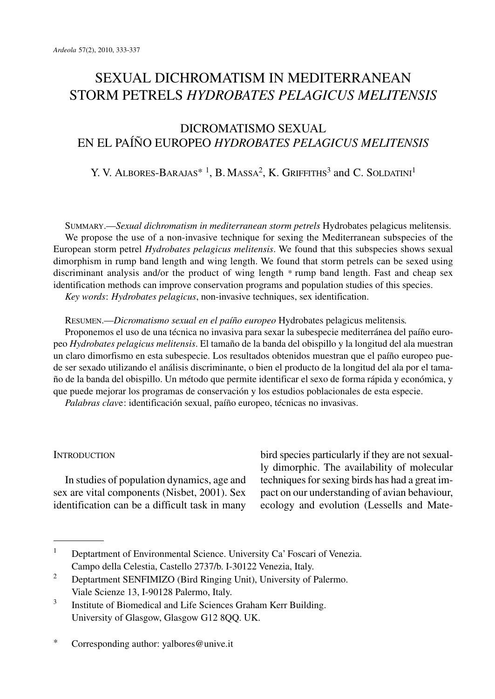# SEXUAL DICHROMATISM IN MEDITERRANEAN STORM PETRELS *HYDROBATES PELAGICUS MELITENSIS*

# DICROMATISMO SEXUAL EN EL PAÍÑO EUROPEO *HYDROBATES PELAGICUS MELITENSIS*

Y. V. ALBORES-BARAJAS\*<sup>1</sup>, B. MASSA<sup>2</sup>, K. GRIFFITHS<sup>3</sup> and C. SOLDATINI<sup>1</sup>

SUMMARY.—*Sexual dichromatism in mediterranean storm petrels* Hydrobates pelagicus melitensis. We propose the use of a non-invasive technique for sexing the Mediterranean subspecies of the European storm petrel *Hydrobates pelagicus melitensis*. We found that this subspecies shows sexual dimorphism in rump band length and wing length. We found that storm petrels can be sexed using discriminant analysis and/or the product of wing length \* rump band length. Fast and cheap sex identification methods can improve conservation programs and population studies of this species. *Key words*: *Hydrobates pelagicus*, non-invasive techniques, sex identification.

RESUMEN.—*Dicromatismo sexual en el paíño europeo* Hydrobates pelagicus melitensis*.*

Proponemos el uso de una técnica no invasiva para sexar la subespecie mediterránea del paíño europeo *Hydrobates pelagicus melitensis*. El tamaño de la banda del obispillo y la longitud del ala muestran un claro dimorfismo en esta subespecie. Los resultados obtenidos muestran que el paíño europeo puede ser sexado utilizando el análisis discriminante, o bien el producto de la longitud del ala por el tamaño de la banda del obispillo. Un método que permite identificar el sexo de forma rápida y económica, y que puede mejorar los programas de conservación y los estudios poblacionales de esta especie.

*Palabras clav*e: identificación sexual, paíño europeo, técnicas no invasivas.

# **INTRODUCTION**

In studies of population dynamics, age and sex are vital components (Nisbet, 2001). Sex identification can be a difficult task in many

bird species particularly if they are not sexually dimorphic. The availability of molecular techniques for sexing birds has had a great impact on our understanding of avian behaviour, ecology and evolution (Lessells and Mate-

\* Corresponding author: yalbores@unive.it

<sup>&</sup>lt;sup>1</sup> Deptartment of Environmental Science. University Ca' Foscari of Venezia. Campo della Celestia, Castello 2737/b. I-30122 Venezia, Italy.

<sup>&</sup>lt;sup>2</sup> Deptartment SENFIMIZO (Bird Ringing Unit), University of Palermo. Viale Scienze 13, I-90128 Palermo, Italy.

<sup>&</sup>lt;sup>3</sup> Institute of Biomedical and Life Sciences Graham Kerr Building. University of Glasgow, Glasgow G12 8QQ. UK.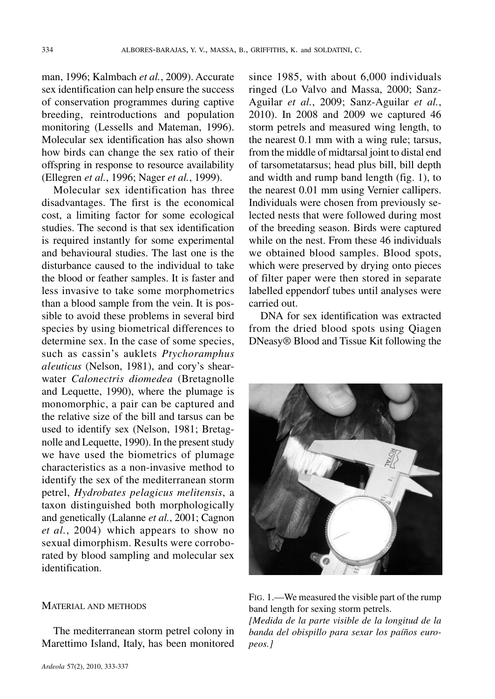man, 1996; Kalmbach *et al.*, 2009). Accurate sex identification can help ensure the success of conservation programmes during captive breeding, reintroductions and population monitoring (Lessells and Mateman, 1996). Molecular sex identification has also shown how birds can change the sex ratio of their offspring in response to resource availability (Ellegren *et al.*, 1996; Nager *et al.*, 1999).

Molecular sex identification has three disadvantages. The first is the economical cost, a limiting factor for some ecological studies. The second is that sex identification is required instantly for some experimental and behavioural studies. The last one is the disturbance caused to the individual to take the blood or feather samples. It is faster and less invasive to take some morphometrics than a blood sample from the vein. It is possible to avoid these problems in several bird species by using biometrical differences to determine sex. In the case of some species, such as cassin's auklets *Ptychoramphus aleuticus* (Nelson, 1981), and cory's shearwater *Calonectris diomedea* (Bretagnolle and Lequette, 1990), where the plumage is monomorphic, a pair can be captured and the relative size of the bill and tarsus can be used to identify sex (Nelson, 1981; Bretagnolle and Lequette, 1990). In the present study we have used the biometrics of plumage characteristics as a non-invasive method to identify the sex of the mediterranean storm petrel, *Hydrobates pelagicus melitensis*, a taxon distinguished both morphologically and genetically (Lalanne *et al.*, 2001; Cagnon *et al.*, 2004) which appears to show no sexual dimorphism. Results were corroborated by blood sampling and molecular sex identification.

#### MATERIAL AND METHODS

The mediterranean storm petrel colony in Marettimo Island, Italy, has been monitored

since 1985, with about 6,000 individuals ringed (Lo Valvo and Massa, 2000; Sanz-Aguilar *et al.*, 2009; Sanz-Aguilar *et al.*, 2010). In 2008 and 2009 we captured 46 storm petrels and measured wing length, to the nearest 0.1 mm with a wing rule; tarsus, from the middle of midtarsal joint to distal end of tarsometatarsus; head plus bill, bill depth and width and rump band length (fig. 1), to the nearest 0.01 mm using Vernier callipers. Individuals were chosen from previously selected nests that were followed during most of the breeding season. Birds were captured while on the nest. From these 46 individuals we obtained blood samples. Blood spots, which were preserved by drying onto pieces of filter paper were then stored in separate labelled eppendorf tubes until analyses were carried out.

DNA for sex identification was extracted from the dried blood spots using Qiagen DNeasy® Blood and Tissue Kit following the



FIG. 1.—We measured the visible part of the rump band length for sexing storm petrels.

*[Medida de la parte visible de la longitud de la banda del obispillo para sexar los paíños europeos.]*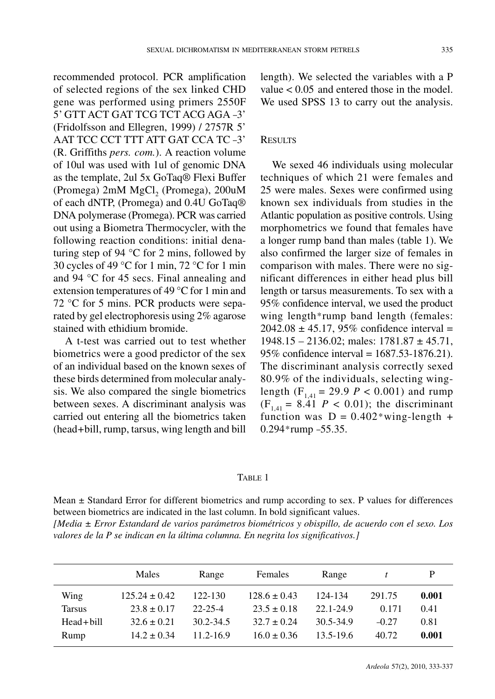recommended protocol. PCR amplification of selected regions of the sex linked CHD gene was performed using primers 2550F 5' GTT ACT GAT TCG TCT ACG AGA –3' (Fridolfsson and Ellegren, 1999) / 2757R 5' AAT TCC CCT TTT ATT GAT CCA TC –3' (R. Griffiths *pers. com.*). A reaction volume of 10ul was used with 1ul of genomic DNA as the template, 2ul 5x GoTaq® Flexi Buffer (Promega)  $2mM$  MgCl<sub>2</sub> (Promega),  $200uM$ of each dNTP, (Promega) and 0.4U GoTaq® DNA polymerase (Promega). PCR was carried out using a Biometra Thermocycler, with the following reaction conditions: initial denaturing step of 94 °C for 2 mins, followed by 30 cycles of 49 °C for 1 min, 72 °C for 1 min and 94 °C for 45 secs. Final annealing and extension temperatures of 49 °C for 1 min and 72 °C for 5 mins. PCR products were separated by gel electrophoresis using 2% agarose stained with ethidium bromide.

A t-test was carried out to test whether biometrics were a good predictor of the sex of an individual based on the known sexes of these birds determined from molecular analysis. We also compared the single biometrics between sexes. A discriminant analysis was carried out entering all the biometrics taken (head+bill, rump, tarsus, wing length and bill length). We selected the variables with a P value  $< 0.05$  and entered those in the model. We used SPSS 13 to carry out the analysis.

#### **RESULTS**

We sexed 46 individuals using molecular techniques of which 21 were females and 25 were males. Sexes were confirmed using known sex individuals from studies in the Atlantic population as positive controls. Using morphometrics we found that females have a longer rump band than males (table 1). We also confirmed the larger size of females in comparison with males. There were no significant differences in either head plus bill length or tarsus measurements. To sex with a 95% confidence interval, we used the product wing length\*rump band length (females:  $2042.08 \pm 45.17$ , 95% confidence interval =  $1948.15 - 2136.02$ ; males:  $1781.87 \pm 45.71$ , 95% confidence interval = 1687.53-1876.21). The discriminant analysis correctly sexed 80.9% of the individuals, selecting winglength ( $F_{1,41}$  = 29.9 *P* < 0.001) and rump  $(F_{1,41} = 8.41 \, P < 0.01)$ ; the discriminant function was  $D = 0.402*$  wing-length + 0.294\*rump –55.35.

#### TABLE 1

Mean ± Standard Error for different biometrics and rump according to sex. P values for differences between biometrics are indicated in the last column. In bold significant values. *[Media ± Error Estandard de varios parámetros biométricos y obispillo, de acuerdo con el sexo. Los*

*valores de la P se indican en la última columna. En negrita los significativos.]*

|               | Males             | Range         | Females          | Range         |         | P     |
|---------------|-------------------|---------------|------------------|---------------|---------|-------|
| Wing          | $125.24 \pm 0.42$ | 122-130       | $128.6 \pm 0.43$ | 124-134       | 291.75  | 0.001 |
| <b>Tarsus</b> | $23.8 \pm 0.17$   | $22 - 25 - 4$ | $23.5 \pm 0.18$  | $22.1 - 24.9$ | 0.171   | 0.41  |
| Head+bill     | $32.6 \pm 0.21$   | $30.2 - 34.5$ | $32.7 \pm 0.24$  | 30.5-34.9     | $-0.27$ | 0.81  |
| Rump          | $14.2 + 0.34$     | $11.2 - 16.9$ | $16.0 \pm 0.36$  | 13.5-19.6     | 40.72   | 0.001 |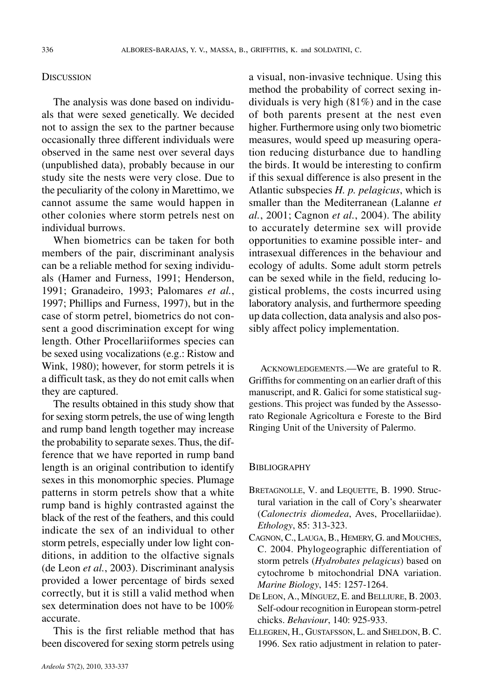## **DISCUSSION**

The analysis was done based on individuals that were sexed genetically. We decided not to assign the sex to the partner because occasionally three different individuals were observed in the same nest over several days (unpublished data), probably because in our study site the nests were very close. Due to the peculiarity of the colony in Marettimo, we cannot assume the same would happen in other colonies where storm petrels nest on individual burrows.

When biometrics can be taken for both members of the pair, discriminant analysis can be a reliable method for sexing individuals (Hamer and Furness, 1991; Henderson, 1991; Granadeiro, 1993; Palomares *et al.*, 1997; Phillips and Furness, 1997), but in the case of storm petrel, biometrics do not consent a good discrimination except for wing length. Other Procellariiformes species can be sexed using vocalizations (e.g.: Ristow and Wink, 1980); however, for storm petrels it is a difficult task, as they do not emit calls when they are captured.

The results obtained in this study show that for sexing storm petrels, the use of wing length and rump band length together may increase the probability to separate sexes. Thus, the difference that we have reported in rump band length is an original contribution to identify sexes in this monomorphic species. Plumage patterns in storm petrels show that a white rump band is highly contrasted against the black of the rest of the feathers, and this could indicate the sex of an individual to other storm petrels, especially under low light conditions, in addition to the olfactive signals (de Leon *et al.*, 2003). Discriminant analysis provided a lower percentage of birds sexed correctly, but it is still a valid method when sex determination does not have to be 100% accurate.

This is the first reliable method that has been discovered for sexing storm petrels using

a visual, non-invasive technique. Using this method the probability of correct sexing individuals is very high (81%) and in the case of both parents present at the nest even higher. Furthermore using only two biometric measures, would speed up measuring operation reducing disturbance due to handling the birds. It would be interesting to confirm if this sexual difference is also present in the Atlantic subspecies *H. p. pelagicus*, which is smaller than the Mediterranean (Lalanne *et al.*, 2001; Cagnon *et al.*, 2004). The ability to accurately determine sex will provide opportunities to examine possible inter- and intrasexual differences in the behaviour and ecology of adults. Some adult storm petrels can be sexed while in the field, reducing logistical problems, the costs incurred using laboratory analysis, and furthermore speeding up data collection, data analysis and also possibly affect policy implementation.

ACKNOWLEDGEMENTS.—We are grateful to R. Griffiths for commenting on an earlier draft of this manuscript, and R. Galici for some statistical suggestions. This project was funded by the Assessorato Regionale Agricoltura e Foreste to the Bird Ringing Unit of the University of Palermo.

# **BIBLIOGRAPHY**

- BRETAGNOLLE, V. and LEQUETTE, B. 1990. Structural variation in the call of Cory's shearwater (*Calonectris diomedea*, Aves, Procellariidae). *Ethology*, 85: 313-323.
- CAGNON, C., LAUGA, B., HEMERY, G. and MOUCHES, C. 2004. Phylogeographic differentiation of storm petrels (*Hydrobates pelagicus*) based on cytochrome b mitochondrial DNA variation. *Marine Biology*, 145: 1257-1264.
- DE LEON, A., MÍNGUEZ, E. and BELLIURE, B. 2003. Self-odour recognition in European storm-petrel chicks. *Behaviour*, 140: 925-933.
- ELLEGREN, H., GUSTAFSSON, L. and SHELDON, B. C. 1996. Sex ratio adjustment in relation to pater-